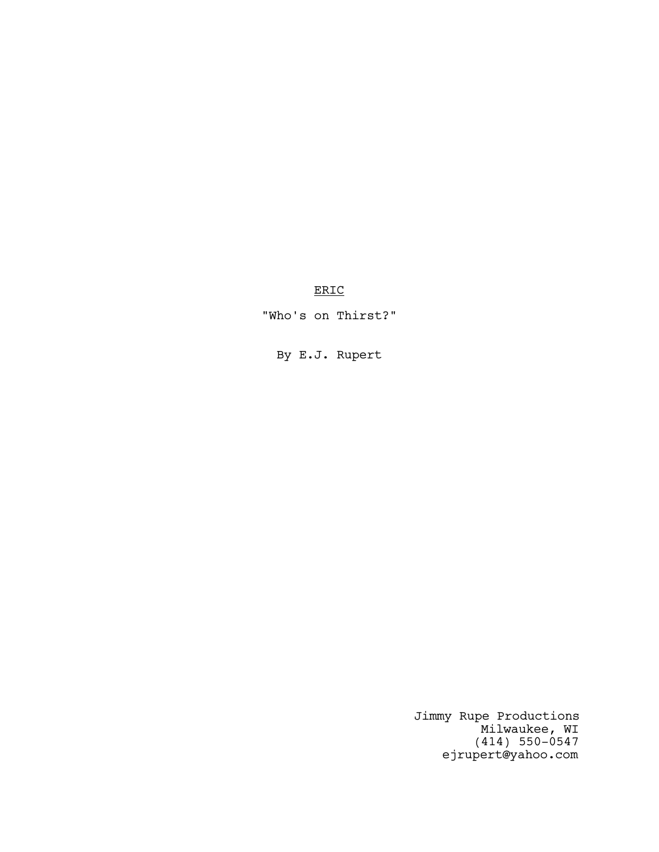# ERIC

"Who's on Thirst?"

By E.J. Rupert

Jimmy Rupe Productions Milwaukee, WI (414) 550-0547 ejrupert@yahoo.com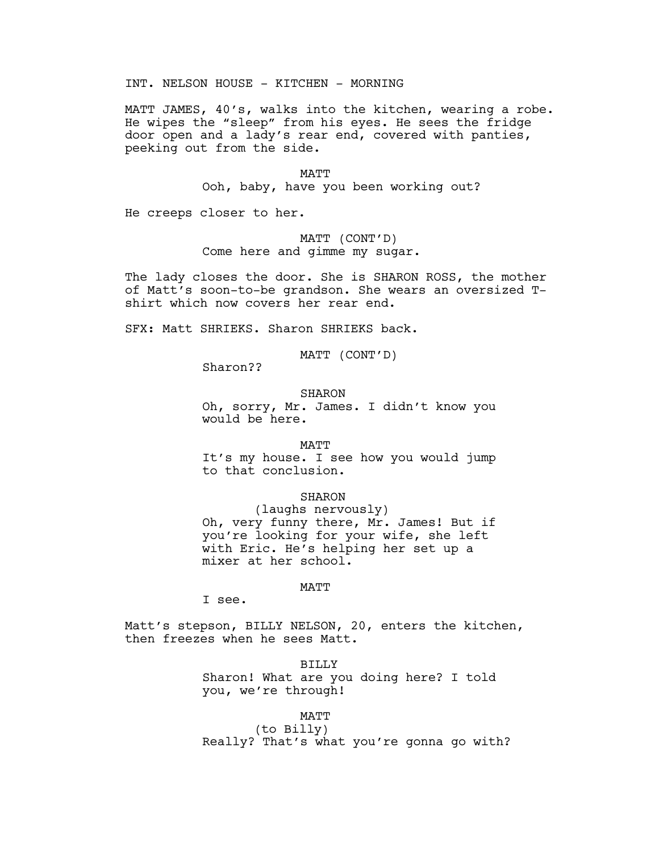INT. NELSON HOUSE - KITCHEN - MORNING

MATT JAMES, 40's, walks into the kitchen, wearing a robe. He wipes the "sleep" from his eyes. He sees the fridge door open and a lady's rear end, covered with panties, peeking out from the side.

> MATT Ooh, baby, have you been working out?

He creeps closer to her.

MATT (CONT'D) Come here and gimme my sugar.

The lady closes the door. She is SHARON ROSS, the mother of Matt's soon-to-be grandson. She wears an oversized Tshirt which now covers her rear end.

SFX: Matt SHRIEKS. Sharon SHRIEKS back.

MATT (CONT'D)

Sharon??

**SHARON** 

Oh, sorry, Mr. James. I didn't know you would be here.

MATT

It's my house. I see how you would jump to that conclusion.

### SHARON

(laughs nervously) Oh, very funny there, Mr. James! But if you're looking for your wife, she left with Eric. He's helping her set up a mixer at her school.

# MATT

I see.

Matt's stepson, BILLY NELSON, 20, enters the kitchen, then freezes when he sees Matt.

> BILLY Sharon! What are you doing here? I told you, we're through!

# MATT

(to Billy) Really? That's what you're gonna go with?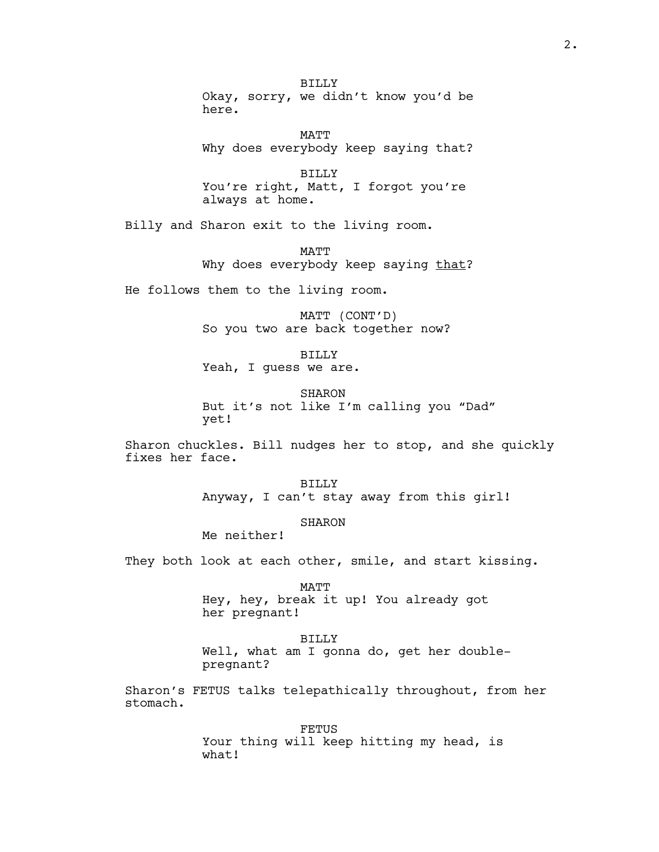BILLY Okay, sorry, we didn't know you'd be here.

MATT Why does everybody keep saying that?

BILLY You're right, Matt, I forgot you're always at home.

Billy and Sharon exit to the living room.

MATT Why does everybody keep saying that?

He follows them to the living room.

MATT (CONT'D) So you two are back together now?

BILLY Yeah, I guess we are.

SHARON But it's not like I'm calling you "Dad" yet!

Sharon chuckles. Bill nudges her to stop, and she quickly fixes her face.

> BILLY Anyway, I can't stay away from this girl!

> > SHARON

Me neither!

They both look at each other, smile, and start kissing.

MATT

Hey, hey, break it up! You already got her pregnant!

BILLY

Well, what am I gonna do, get her doublepregnant?

Sharon's FETUS talks telepathically throughout, from her stomach.

> FETUS Your thing will keep hitting my head, is what!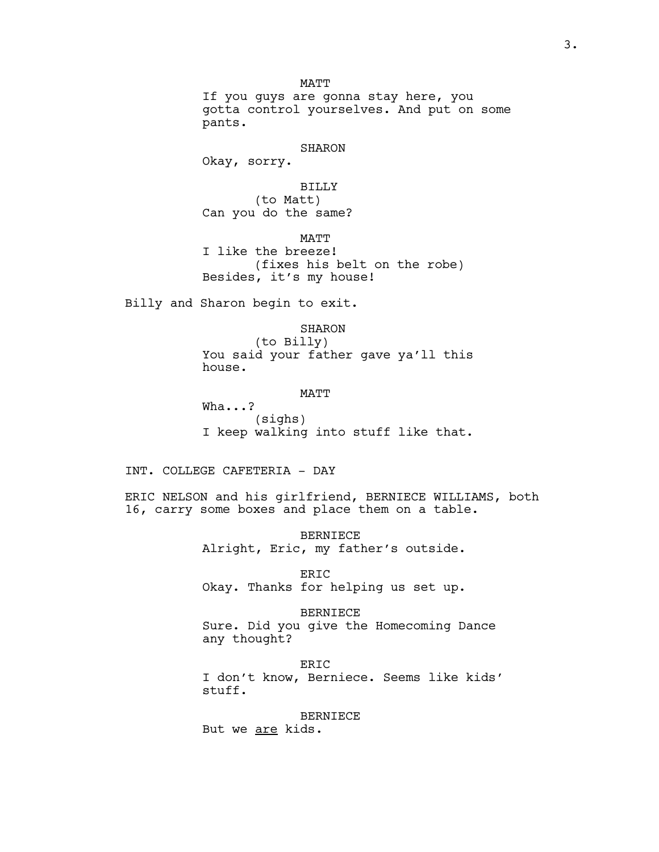MATT If you guys are gonna stay here, you gotta control yourselves. And put on some pants.

#### SHARON

Okay, sorry.

BILLY

(to Matt) Can you do the same?

MATT

I like the breeze! (fixes his belt on the robe) Besides, it's my house!

Billy and Sharon begin to exit.

# SHARON

(to Billy) You said your father gave ya'll this house.

**MATT** 

Wha...? (sighs) I keep walking into stuff like that.

INT. COLLEGE CAFETERIA - DAY

ERIC NELSON and his girlfriend, BERNIECE WILLIAMS, both 16, carry some boxes and place them on a table.

> BERNIECE Alright, Eric, my father's outside.

> ERIC Okay. Thanks for helping us set up.

BERNIECE Sure. Did you give the Homecoming Dance any thought?

ERIC I don't know, Berniece. Seems like kids' stuff.

## BERNIECE

But we are kids.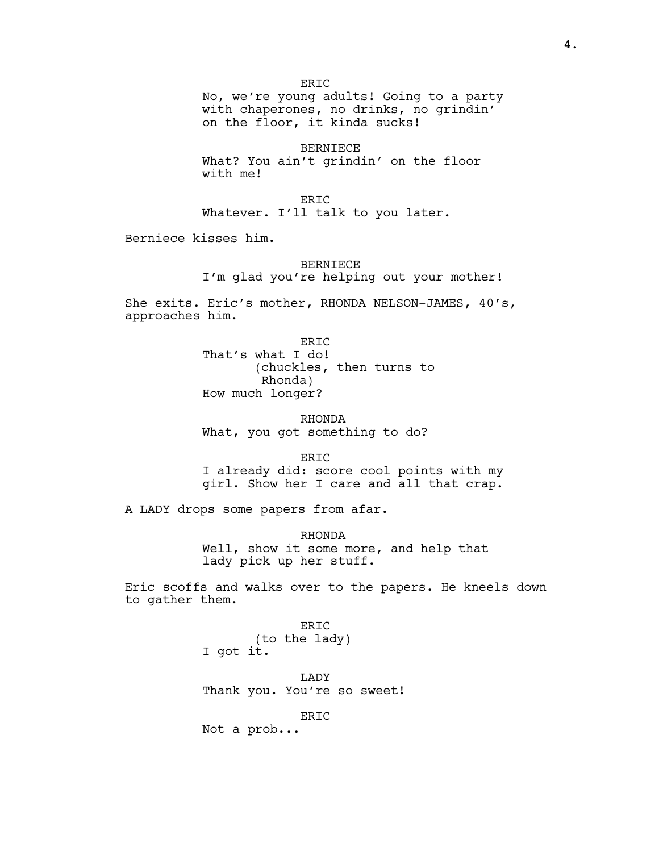ER<sub>TC</sub> No, we're young adults! Going to a party with chaperones, no drinks, no grindin' on the floor, it kinda sucks!

BERNIECE What? You ain't grindin' on the floor with me!

ERIC Whatever. I'll talk to you later.

Berniece kisses him.

# BERNIECE I'm glad you're helping out your mother!

She exits. Eric's mother, RHONDA NELSON-JAMES, 40's, approaches him.

> ER<sub>IC</sub> That's what I do! (chuckles, then turns to Rhonda) How much longer?

RHONDA What, you got something to do?

ERIC I already did: score cool points with my girl. Show her I care and all that crap.

A LADY drops some papers from afar.

RHONDA Well, show it some more, and help that lady pick up her stuff.

Eric scoffs and walks over to the papers. He kneels down to gather them.

> ERIC (to the lady) I got it. LADY Thank you. You're so sweet! ERIC

Not a prob...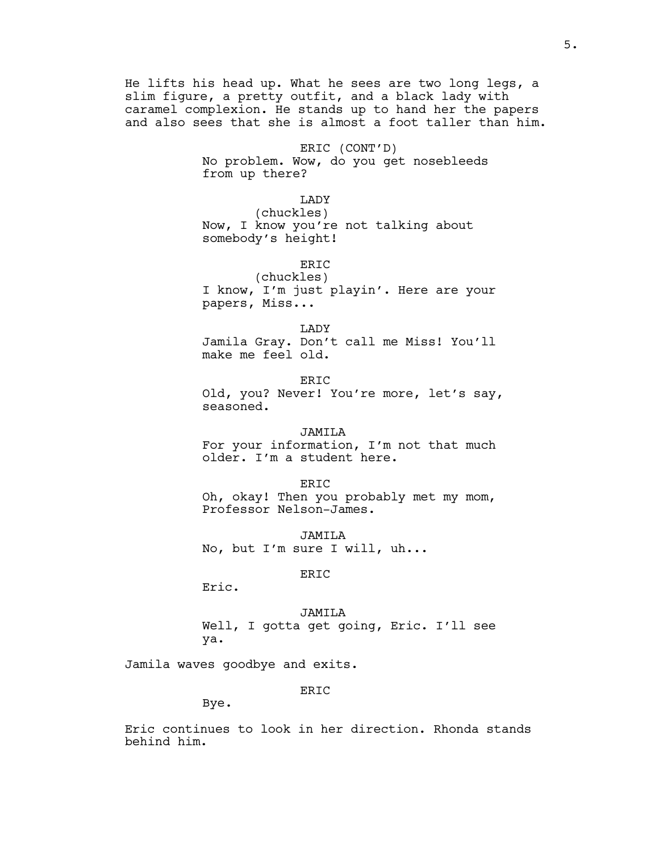He lifts his head up. What he sees are two long legs, a slim figure, a pretty outfit, and a black lady with caramel complexion. He stands up to hand her the papers and also sees that she is almost a foot taller than him.

> ERIC (CONT'D) No problem. Wow, do you get nosebleeds from up there?

> > LADY

(chuckles) Now, I know you're not talking about somebody's height!

ERIC

(chuckles) I know, I'm just playin'. Here are your papers, Miss...

LADY Jamila Gray. Don't call me Miss! You'll make me feel old.

ERIC Old, you? Never! You're more, let's say, seasoned.

# JAMILA

For your information, I'm not that much older. I'm a student here.

ER<sub>TC</sub> Oh, okay! Then you probably met my mom, Professor Nelson-James.

JAMILA No, but I'm sure I will, uh...

# ERIC

Eric.

JAMILA Well, I gotta get going, Eric. I'll see ya.

Jamila waves goodbye and exits.

ERIC

Bye.

Eric continues to look in her direction. Rhonda stands behind him.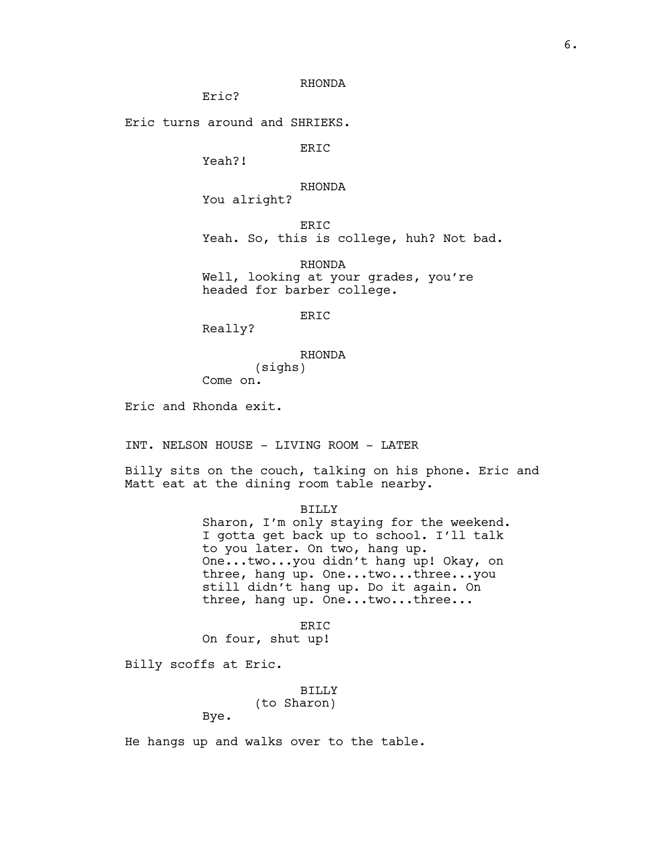# RHONDA

Eric?

Eric turns around and SHRIEKS.

ERIC

Yeah?!

RHONDA

You alright?

ERIC Yeah. So, this is college, huh? Not bad.

RHONDA Well, looking at your grades, you're headed for barber college.

ERIC

Really?

# RHONDA

(sighs) Come on.

Eric and Rhonda exit.

INT. NELSON HOUSE - LIVING ROOM - LATER

Billy sits on the couch, talking on his phone. Eric and Matt eat at the dining room table nearby.

BILLY

Sharon, I'm only staying for the weekend. I gotta get back up to school. I'll talk to you later. On two, hang up. One...two...you didn't hang up! Okay, on three, hang up. One...two...three...you still didn't hang up. Do it again. On three, hang up. One...two...three...

ERIC On four, shut up!

Billy scoffs at Eric.

BILLY (to Sharon)

Bye.

He hangs up and walks over to the table.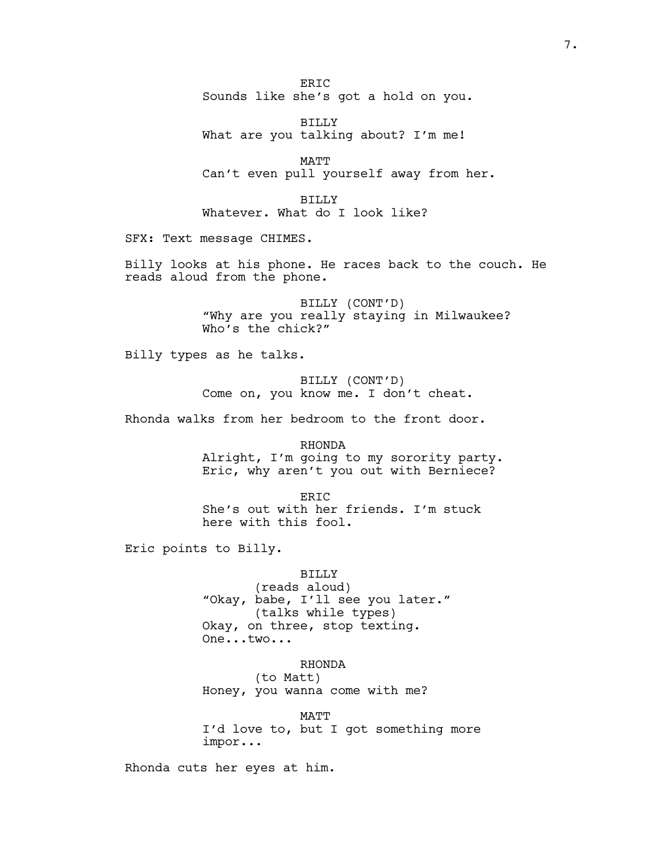ER<sub>TC</sub> Sounds like she's got a hold on you.

BILLY What are you talking about? I'm me!

MATT Can't even pull yourself away from her.

BILLY Whatever. What do I look like?

SFX: Text message CHIMES.

Billy looks at his phone. He races back to the couch. He reads aloud from the phone.

> BILLY (CONT'D) "Why are you really staying in Milwaukee? Who's the chick?"

Billy types as he talks.

BILLY (CONT'D) Come on, you know me. I don't cheat.

Rhonda walks from her bedroom to the front door.

RHONDA Alright, I'm going to my sorority party. Eric, why aren't you out with Berniece?

ERIC She's out with her friends. I'm stuck here with this fool.

Eric points to Billy.

#### BILLY

(reads aloud) "Okay, babe, I'll see you later." (talks while types) Okay, on three, stop texting. One...two...

RHONDA (to Matt) Honey, you wanna come with me?

MATT I'd love to, but I got something more impor...

Rhonda cuts her eyes at him.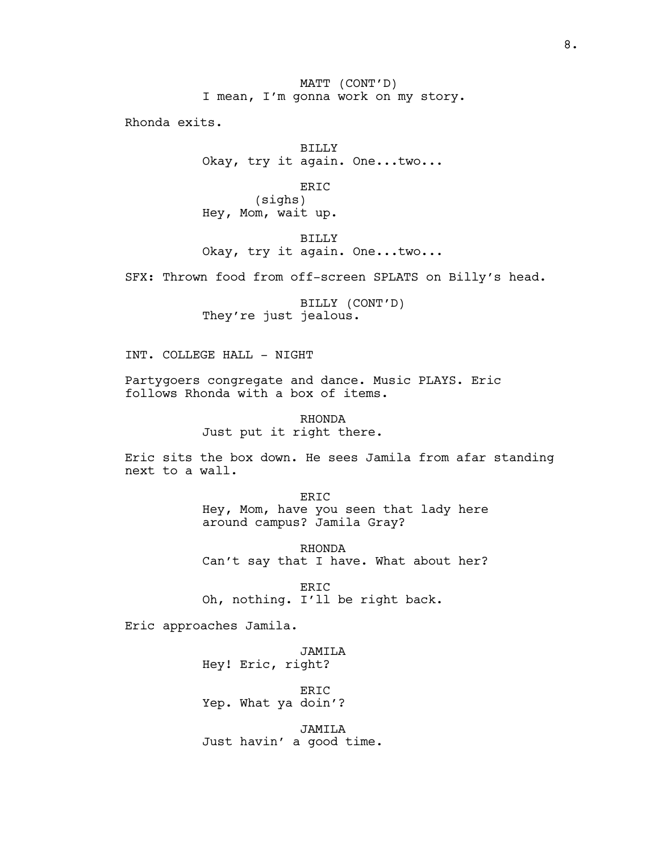MATT (CONT'D) I mean, I'm gonna work on my story.

Rhonda exits.

BILLY Okay, try it again. One...two...

ERIC (sighs) Hey, Mom, wait up.

BILLY Okay, try it again. One...two...

SFX: Thrown food from off-screen SPLATS on Billy's head.

BILLY (CONT'D) They're just jealous.

INT. COLLEGE HALL - NIGHT

Partygoers congregate and dance. Music PLAYS. Eric follows Rhonda with a box of items.

> RHONDA Just put it right there.

Eric sits the box down. He sees Jamila from afar standing next to a wall.

> ERIC Hey, Mom, have you seen that lady here around campus? Jamila Gray?

> RHONDA Can't say that I have. What about her?

ERIC Oh, nothing. I'll be right back.

Eric approaches Jamila.

JAMILA Hey! Eric, right?

ERIC Yep. What ya doin'?

JAMILA Just havin' a good time.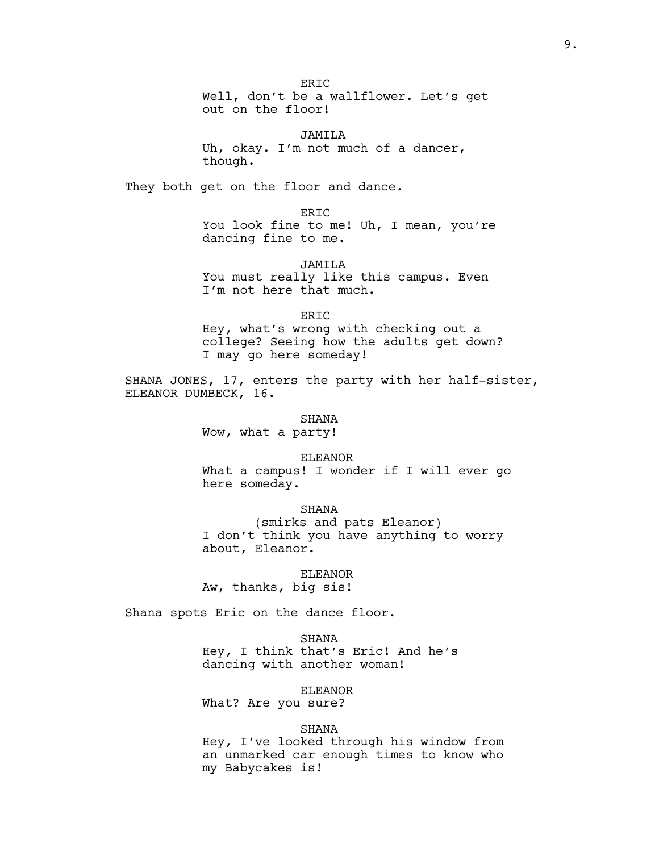ER<sub>TC</sub> Well, don't be a wallflower. Let's get out on the floor!

JAMILA Uh, okay. I'm not much of a dancer, though.

They both get on the floor and dance.

ERIC

You look fine to me! Uh, I mean, you're dancing fine to me.

JAMILA You must really like this campus. Even I'm not here that much.

ERIC

Hey, what's wrong with checking out a college? Seeing how the adults get down? I may go here someday!

SHANA JONES, 17, enters the party with her half-sister, ELEANOR DUMBECK, 16.

> SHANA Wow, what a party!

ELEANOR

What a campus! I wonder if I will ever go here someday.

SHANA

(smirks and pats Eleanor) I don't think you have anything to worry about, Eleanor.

ELEANOR

Aw, thanks, big sis!

Shana spots Eric on the dance floor.

SHANA Hey, I think that's Eric! And he's dancing with another woman!

ELEANOR

What? Are you sure?

SHANA

Hey, I've looked through his window from an unmarked car enough times to know who my Babycakes is!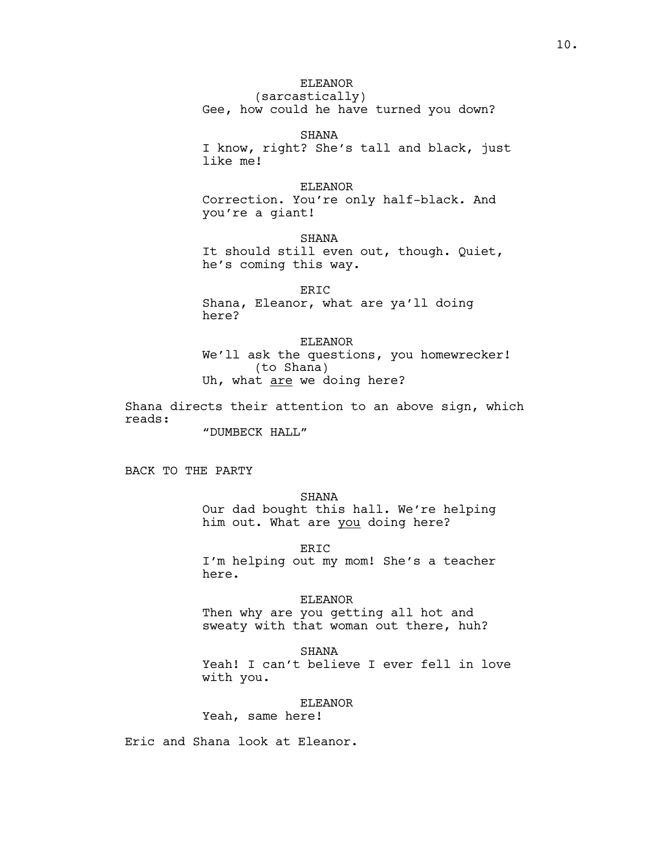# ELEANOR

(sarcastically) Gee, how could he have turned you down?

SHANA I know, right? She's tall and black, just like me!

## ELEANOR

Correction. You're only half-black. And you're a giant!

SHANA It should still even out, though. Quiet, he's coming this way.

ERIC

Shana, Eleanor, what are ya'll doing here?

# ELEANOR

We'll ask the questions, you homewrecker! (to Shana) Uh, what are we doing here?

Shana directs their attention to an above sign, which reads:

"DUMBECK HALL"

BACK TO THE PARTY

#### SHANA

Our dad bought this hall. We're helping him out. What are you doing here?

ERIC

I'm helping out my mom! She's a teacher here.

#### ELEANOR

Then why are you getting all hot and sweaty with that woman out there, huh?

# **SHANA**

Yeah! I can't believe I ever fell in love with you.

## ELEANOR

Yeah, same here!

Eric and Shana look at Eleanor.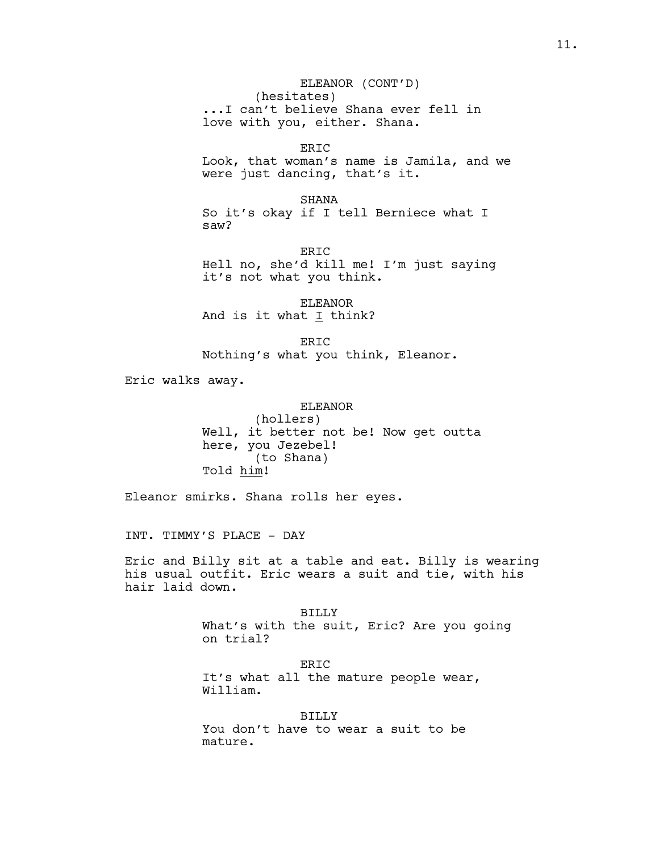ERIC Look, that woman's name is Jamila, and we were just dancing, that's it.

SHANA So it's okay if I tell Berniece what I saw?

ERIC Hell no, she'd kill me! I'm just saying it's not what you think.

ELEANOR And is it what  $I$  think?

ER<sub>TC</sub> Nothing's what you think, Eleanor.

Eric walks away.

#### ELEANOR

(hollers) Well, it better not be! Now get outta here, you Jezebel! (to Shana) Told him!

Eleanor smirks. Shana rolls her eyes.

INT. TIMMY'S PLACE - DAY

Eric and Billy sit at a table and eat. Billy is wearing his usual outfit. Eric wears a suit and tie, with his hair laid down.

> BILLY What's with the suit, Eric? Are you going on trial?

ERIC It's what all the mature people wear, William.

BILLY You don't have to wear a suit to be mature.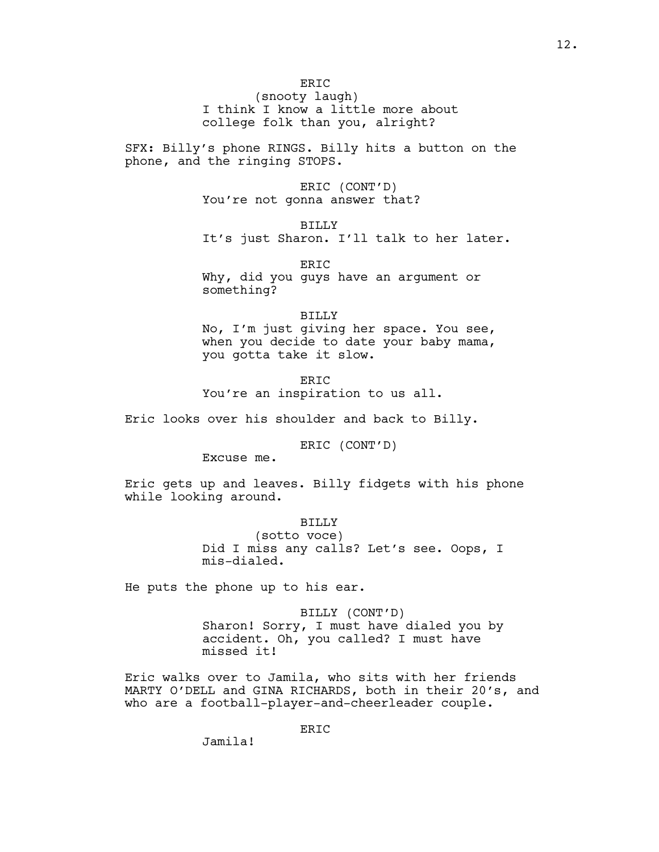(snooty laugh) I think I know a little more about college folk than you, alright?

SFX: Billy's phone RINGS. Billy hits a button on the phone, and the ringing STOPS.

> ERIC (CONT'D) You're not gonna answer that?

BILLY It's just Sharon. I'll talk to her later.

ERIC Why, did you quys have an argument or something?

BILLY

No, I'm just giving her space. You see, when you decide to date your baby mama, you gotta take it slow.

ERIC You're an inspiration to us all.

Eric looks over his shoulder and back to Billy.

ERIC (CONT'D)

Excuse me.

Eric gets up and leaves. Billy fidgets with his phone while looking around.

> BILLY (sotto voce) Did I miss any calls? Let's see. Oops, I mis-dialed.

He puts the phone up to his ear.

BILLY (CONT'D) Sharon! Sorry, I must have dialed you by accident. Oh, you called? I must have missed it!

Eric walks over to Jamila, who sits with her friends MARTY O'DELL and GINA RICHARDS, both in their 20's, and who are a football-player-and-cheerleader couple.

ERIC

Jamila!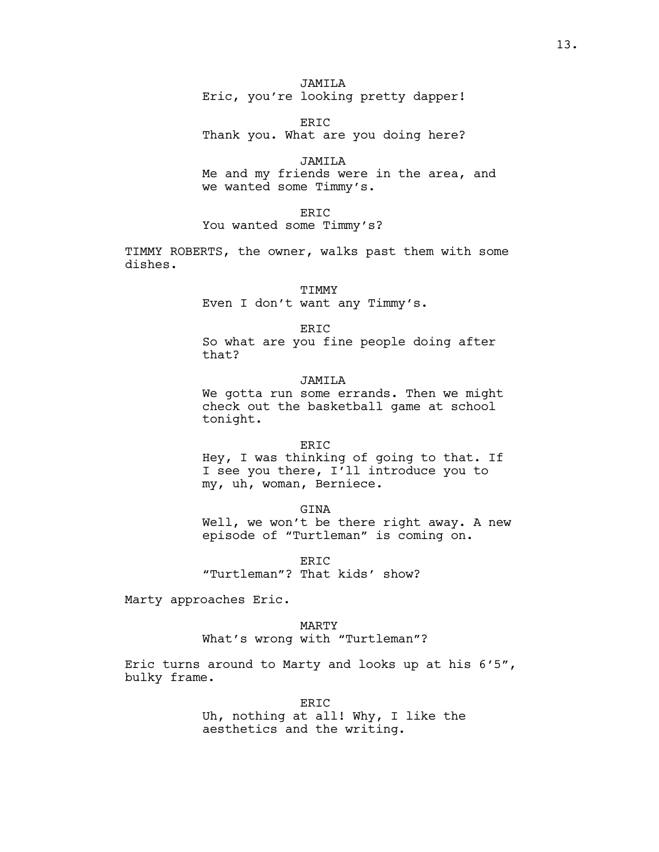# JAMILA

Eric, you're looking pretty dapper!

ERIC Thank you. What are you doing here?

JAMILA Me and my friends were in the area, and we wanted some Timmy's.

ERIC

You wanted some Timmy's?

TIMMY ROBERTS, the owner, walks past them with some dishes.

#### TIMMY

Even I don't want any Timmy's.

## ERIC

So what are you fine people doing after that?

# JAMILA

We gotta run some errands. Then we might check out the basketball game at school tonight.

#### ERIC

Hey, I was thinking of going to that. If I see you there, I'll introduce you to my, uh, woman, Berniece.

GINA

Well, we won't be there right away. A new episode of "Turtleman" is coming on.

ER<sub>TC</sub> "Turtleman"? That kids' show?

Marty approaches Eric.

MARTY What's wrong with "Turtleman"?

Eric turns around to Marty and looks up at his 6'5", bulky frame.

> ERIC Uh, nothing at all! Why, I like the aesthetics and the writing.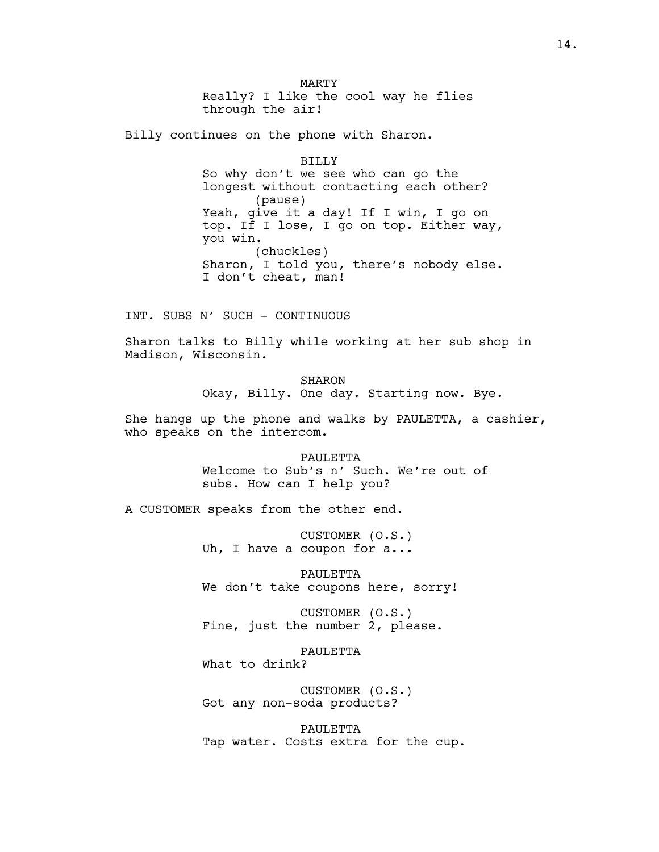MARTY Really? I like the cool way he flies through the air!

Billy continues on the phone with Sharon.

BILLY So why don't we see who can go the longest without contacting each other? (pause) Yeah, give it a day! If I win, I go on top. If I lose, I go on top. Either way, you win. (chuckles) Sharon, I told you, there's nobody else. I don't cheat, man!

INT. SUBS N' SUCH - CONTINUOUS

Sharon talks to Billy while working at her sub shop in Madison, Wisconsin.

> SHARON Okay, Billy. One day. Starting now. Bye.

She hangs up the phone and walks by PAULETTA, a cashier, who speaks on the intercom.

> PAULETTA Welcome to Sub's n' Such. We're out of subs. How can I help you?

A CUSTOMER speaks from the other end.

CUSTOMER (O.S.) Uh, I have a coupon for a...

PAULETTA We don't take coupons here, sorry!

CUSTOMER (O.S.) Fine, just the number 2, please.

PAULETTA What to drink?

CUSTOMER (O.S.) Got any non-soda products?

PAULETTA Tap water. Costs extra for the cup.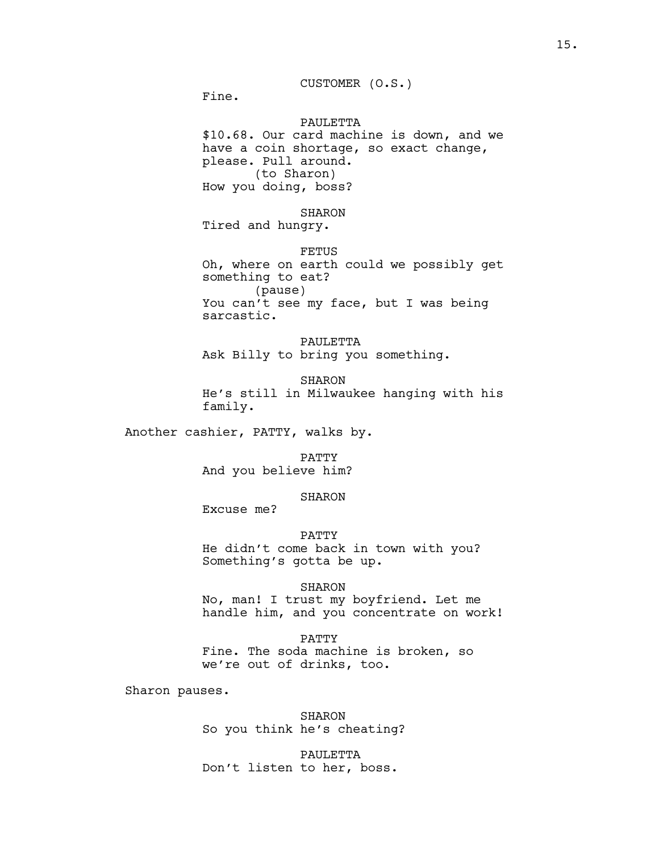Fine.

# PAULETTA

\$10.68. Our card machine is down, and we have a coin shortage, so exact change, please. Pull around. (to Sharon) How you doing, boss?

SHARON Tired and hungry.

FETUS Oh, where on earth could we possibly get something to eat? (pause) You can't see my face, but I was being sarcastic.

PAULETTA Ask Billy to bring you something.

SHARON He's still in Milwaukee hanging with his family.

Another cashier, PATTY, walks by.

PATTY And you believe him?

# SHARON

Excuse me?

### PATTY

He didn't come back in town with you? Something's gotta be up.

### SHARON

No, man! I trust my boyfriend. Let me handle him, and you concentrate on work!

# PATTY

Fine. The soda machine is broken, so we're out of drinks, too.

Sharon pauses.

SHARON So you think he's cheating?

PAULETTA Don't listen to her, boss.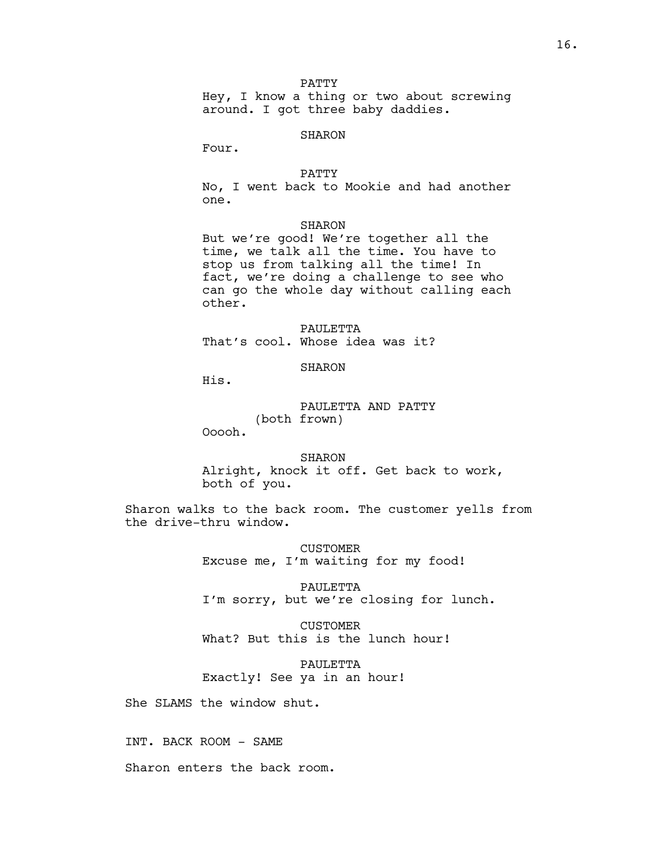# PATTY

Hey, I know a thing or two about screwing around. I got three baby daddies.

# SHARON

Four.

### PATTY

No, I went back to Mookie and had another one.

#### SHARON

But we're good! We're together all the time, we talk all the time. You have to stop us from talking all the time! In fact, we're doing a challenge to see who can go the whole day without calling each other.

PAULETTA That's cool. Whose idea was it?

# SHARON

His.

PAULETTA AND PATTY (both frown)

Ooooh.

SHARON Alright, knock it off. Get back to work, both of you.

Sharon walks to the back room. The customer yells from the drive-thru window.

> CUSTOMER Excuse me, I'm waiting for my food!

PAULETTA I'm sorry, but we're closing for lunch.

CUSTOMER What? But this is the lunch hour!

PAULETTA Exactly! See ya in an hour!

She SLAMS the window shut.

INT. BACK ROOM - SAME

Sharon enters the back room.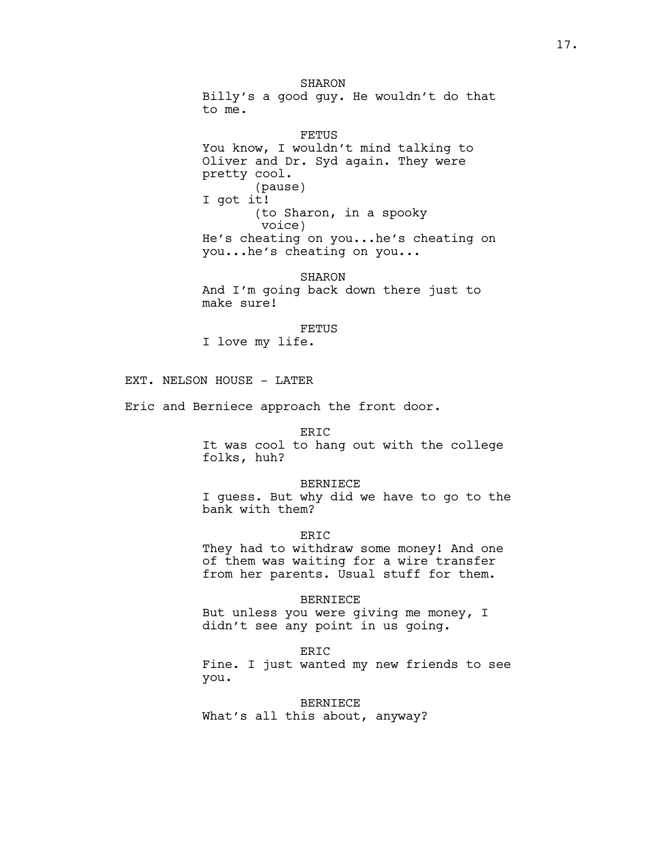**SHARON** Billy's a good guy. He wouldn't do that to me.

FETUS You know, I wouldn't mind talking to Oliver and Dr. Syd again. They were pretty cool. (pause) I got it! (to Sharon, in a spooky voice) He's cheating on you...he's cheating on you...he's cheating on you...

SHARON And I'm going back down there just to make sure!

FETUS

I love my life.

EXT. NELSON HOUSE - LATER

Eric and Berniece approach the front door.

### ERIC

It was cool to hang out with the college folks, huh?

# BERNIECE

I guess. But why did we have to go to the bank with them?

ER<sub>TC</sub>

They had to withdraw some money! And one of them was waiting for a wire transfer from her parents. Usual stuff for them.

BERNIECE

But unless you were giving me money, I didn't see any point in us going.

ERIC

Fine. I just wanted my new friends to see you.

BERNIECE What's all this about, anyway?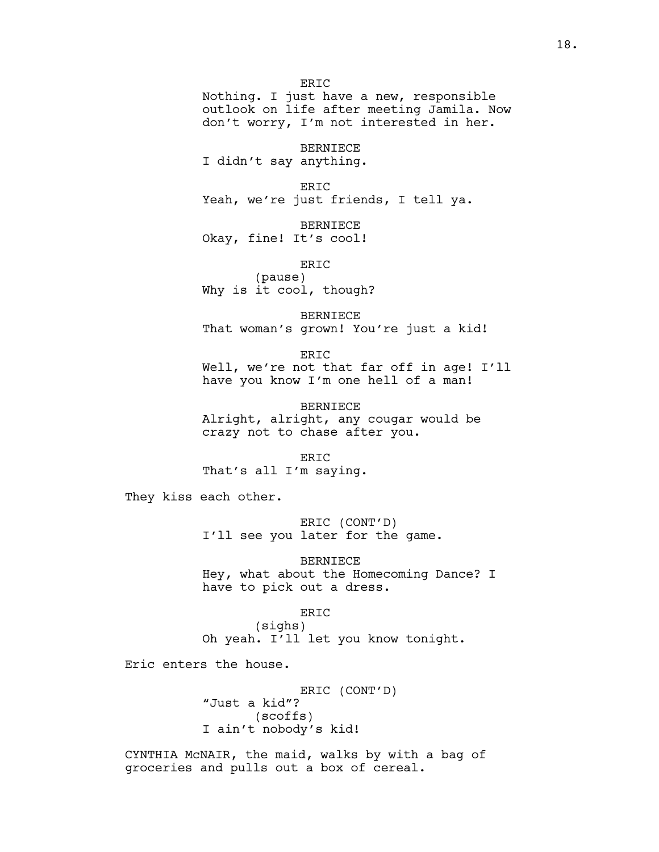ER<sub>TC</sub> Nothing. I just have a new, responsible outlook on life after meeting Jamila. Now don't worry, I'm not interested in her.

BERNIECE

I didn't say anything.

ERIC

Yeah, we're just friends, I tell ya.

BERNIECE Okay, fine! It's cool!

ERIC

(pause) Why is it cool, though?

BERNIECE That woman's grown! You're just a kid!

ERIC Well, we're not that far off in age! I'll have you know I'm one hell of a man!

BERNIECE Alright, alright, any cougar would be crazy not to chase after you.

ERIC That's all I'm saying.

They kiss each other.

ERIC (CONT'D) I'll see you later for the game.

BERNIECE Hey, what about the Homecoming Dance? I have to pick out a dress.

ERIC

(sighs) Oh yeah. I'll let you know tonight.

Eric enters the house.

ERIC (CONT'D) "Just a kid"? (scoffs) I ain't nobody's kid!

CYNTHIA McNAIR, the maid, walks by with a bag of groceries and pulls out a box of cereal.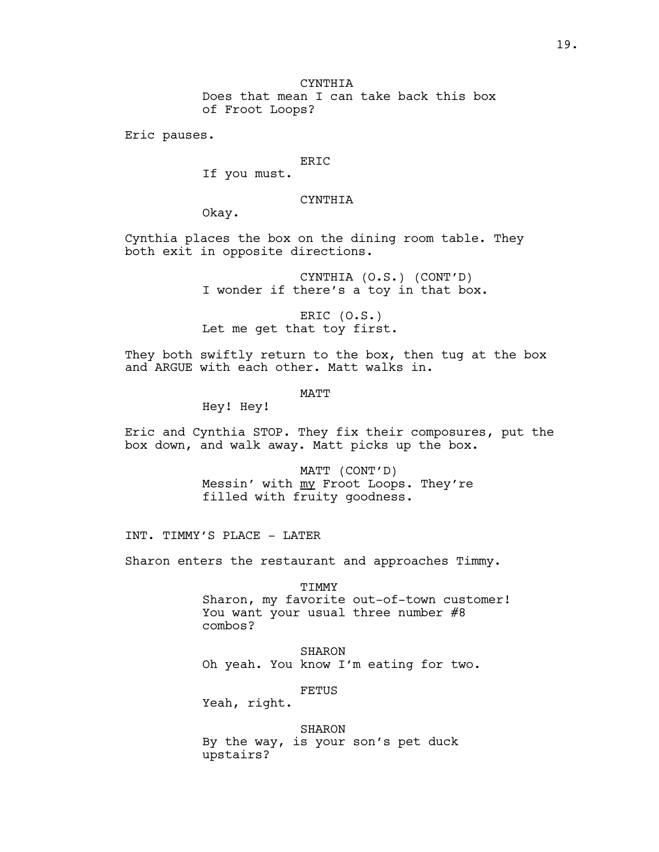**CYNTHIA** Does that mean I can take back this box of Froot Loops?

Eric pauses.

# ERIC

If you must.

# CYNTHIA

Okay.

Cynthia places the box on the dining room table. They both exit in opposite directions.

> CYNTHIA (O.S.) (CONT'D) I wonder if there's a toy in that box.

ERIC (O.S.) Let me get that toy first.

They both swiftly return to the box, then tug at the box and ARGUE with each other. Matt walks in.

**MATT** 

Hey! Hey!

Eric and Cynthia STOP. They fix their composures, put the box down, and walk away. Matt picks up the box.

> MATT (CONT'D) Messin' with my Froot Loops. They're filled with fruity goodness.

INT. TIMMY'S PLACE - LATER

Sharon enters the restaurant and approaches Timmy.

TIMMY

Sharon, my favorite out-of-town customer! You want your usual three number #8 combos?

SHARON Oh yeah. You know I'm eating for two.

FETUS

Yeah, right.

SHARON By the way, is your son's pet duck upstairs?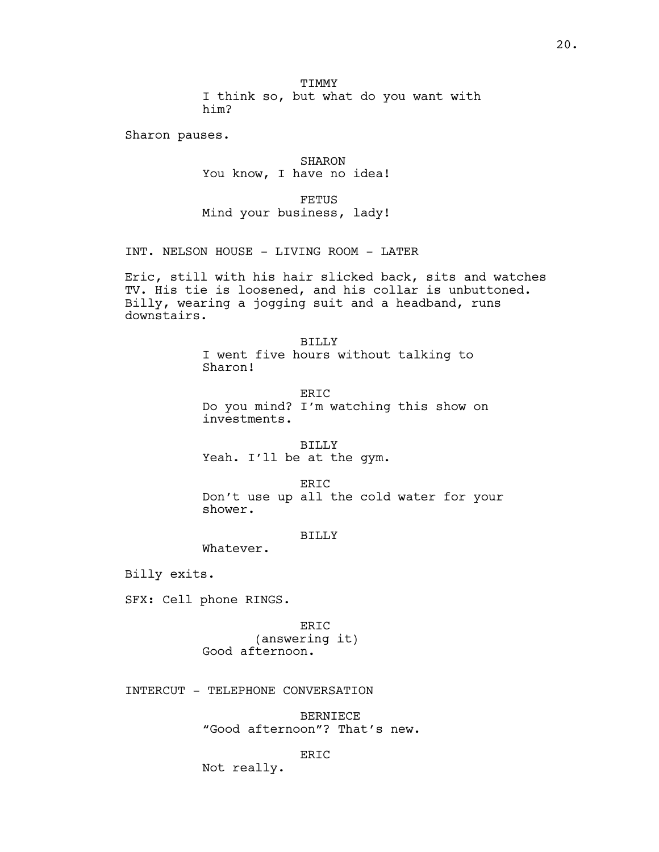**TTMMY** I think so, but what do you want with him?

Sharon pauses.

SHARON You know, I have no idea!

FETUS Mind your business, lady!

INT. NELSON HOUSE - LIVING ROOM - LATER

Eric, still with his hair slicked back, sits and watches TV. His tie is loosened, and his collar is unbuttoned. Billy, wearing a jogging suit and a headband, runs downstairs.

> BILLY I went five hours without talking to Sharon!

ERIC Do you mind? I'm watching this show on investments.

BILLY Yeah. I'll be at the gym.

ERIC Don't use up all the cold water for your shower.

### BILLY

Whatever.

Billy exits.

SFX: Cell phone RINGS.

ERIC (answering it) Good afternoon.

INTERCUT - TELEPHONE CONVERSATION

BERNIECE "Good afternoon"? That's new.

ERIC

Not really.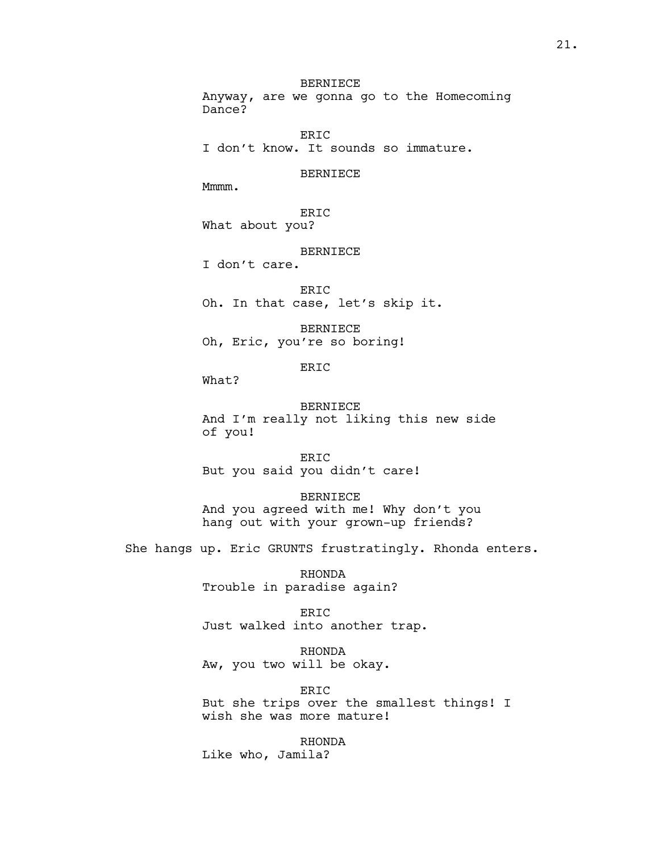BERNIECE Anyway, are we gonna go to the Homecoming Dance?

ERIC I don't know. It sounds so immature.

#### BERNIECE

Mmmm.

ERIC What about you?

# BERNIECE

I don't care.

ERIC Oh. In that case, let's skip it.

BERNIECE Oh, Eric, you're so boring!

ERIC

What?

BERNIECE And I'm really not liking this new side of you!

ERIC But you said you didn't care!

### BERNIECE

And you agreed with me! Why don't you hang out with your grown-up friends?

She hangs up. Eric GRUNTS frustratingly. Rhonda enters.

RHONDA Trouble in paradise again?

ERIC Just walked into another trap.

RHONDA Aw, you two will be okay.

ERIC But she trips over the smallest things! I wish she was more mature!

RHONDA Like who, Jamila?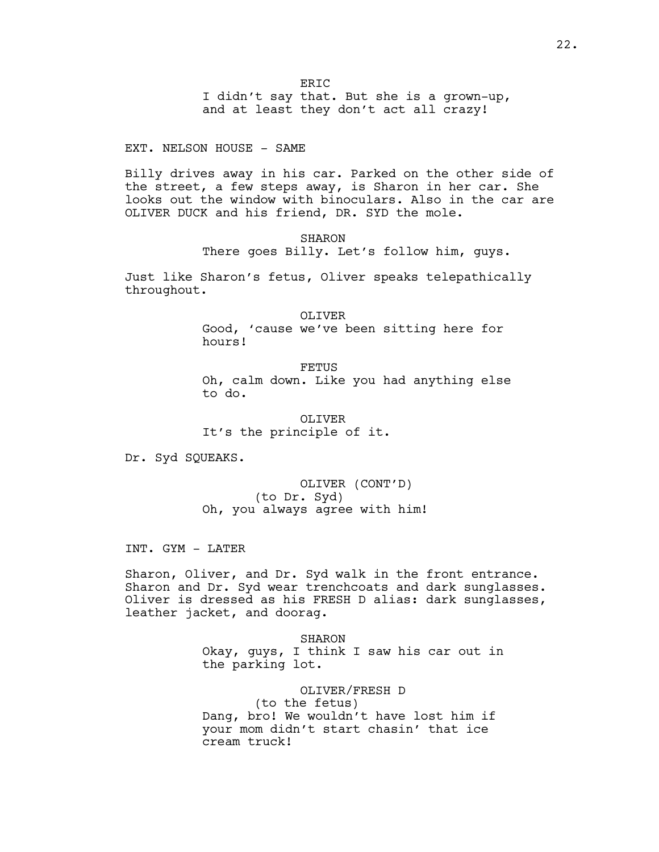I didn't say that. But she is a grown-up, and at least they don't act all crazy!

EXT. NELSON HOUSE - SAME

Billy drives away in his car. Parked on the other side of the street, a few steps away, is Sharon in her car. She looks out the window with binoculars. Also in the car are OLIVER DUCK and his friend, DR. SYD the mole.

> SHARON There goes Billy. Let's follow him, guys.

Just like Sharon's fetus, Oliver speaks telepathically throughout.

> OLIVER Good, 'cause we've been sitting here for hours!

**FETUS** Oh, calm down. Like you had anything else to do.

OLIVER It's the principle of it.

Dr. Syd SQUEAKS.

OLIVER (CONT'D) (to Dr. Syd) Oh, you always agree with him!

INT. GYM - LATER

Sharon, Oliver, and Dr. Syd walk in the front entrance. Sharon and Dr. Syd wear trenchcoats and dark sunglasses. Oliver is dressed as his FRESH D alias: dark sunglasses, leather jacket, and doorag.

> SHARON Okay, guys, I think I saw his car out in the parking lot.

OLIVER/FRESH D (to the fetus) Dang, bro! We wouldn't have lost him if your mom didn't start chasin' that ice cream truck!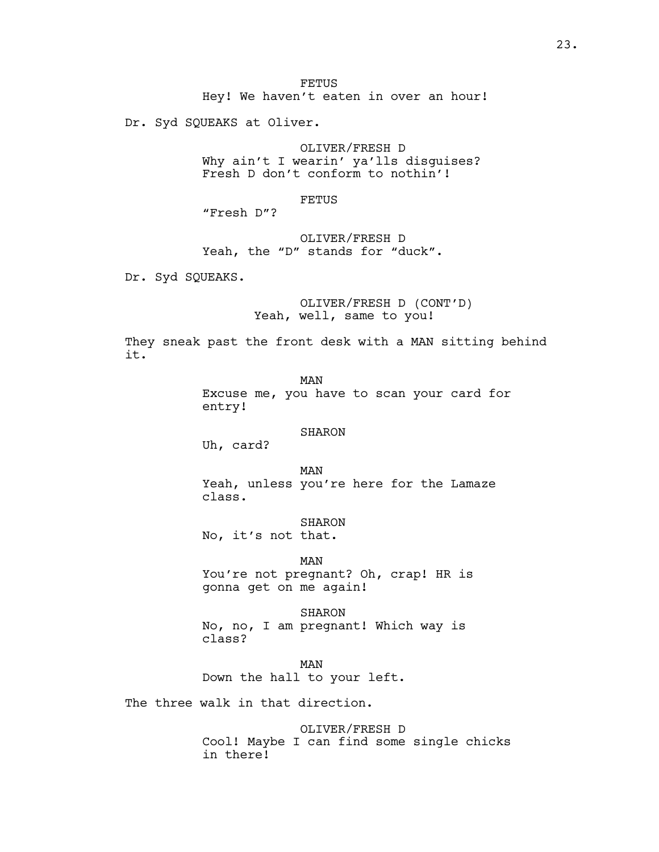FETUS Hey! We haven't eaten in over an hour!

Dr. Syd SQUEAKS at Oliver.

OLIVER/FRESH D Why ain't I wearin' ya'lls disguises? Fresh D don't conform to nothin'!

FETUS

"Fresh D"?

OLIVER/FRESH D Yeah, the "D" stands for "duck".

Dr. Syd SQUEAKS.

OLIVER/FRESH D (CONT'D) Yeah, well, same to you!

They sneak past the front desk with a MAN sitting behind it.

> MAN Excuse me, you have to scan your card for entry!

### SHARON

Uh, card?

MAN

Yeah, unless you're here for the Lamaze class.

SHARON No, it's not that.

MAN You're not pregnant? Oh, crap! HR is gonna get on me again!

SHARON

No, no, I am pregnant! Which way is class?

MAN Down the hall to your left.

The three walk in that direction.

OLIVER/FRESH D Cool! Maybe I can find some single chicks in there!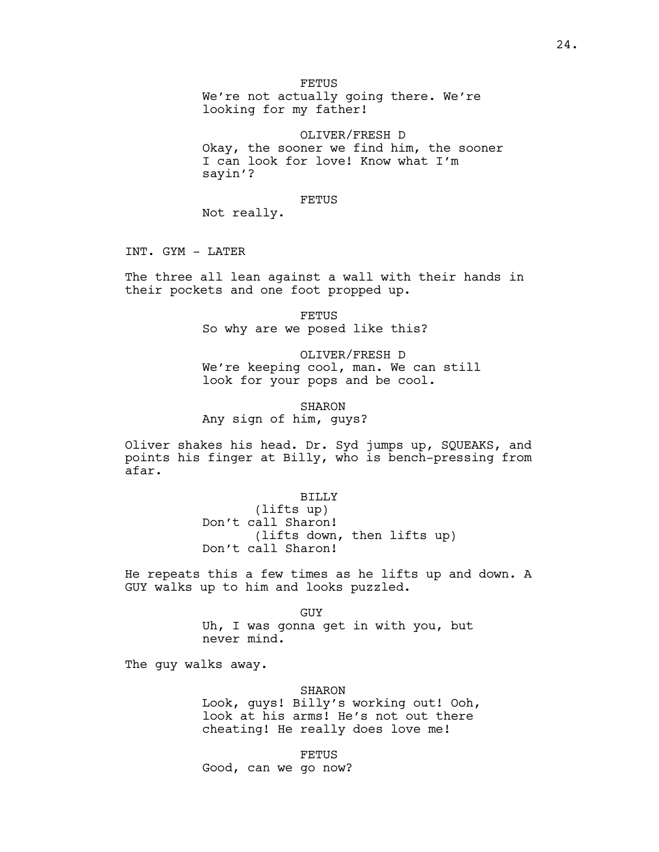**FETUS** We're not actually going there. We're looking for my father!

OLIVER/FRESH D Okay, the sooner we find him, the sooner I can look for love! Know what I'm sayin'?

#### FETUS

Not really.

INT. GYM - LATER

The three all lean against a wall with their hands in their pockets and one foot propped up.

> FETUS So why are we posed like this?

# OLIVER/FRESH D We're keeping cool, man. We can still

look for your pops and be cool.

SHARON Any sign of him, guys?

Oliver shakes his head. Dr. Syd jumps up, SQUEAKS, and points his finger at Billy, who is bench-pressing from afar.

# BILLY

(lifts up) Don't call Sharon! (lifts down, then lifts up) Don't call Sharon!

He repeats this a few times as he lifts up and down. A GUY walks up to him and looks puzzled.

> GUY Uh, I was gonna get in with you, but never mind.

The guy walks away.

#### SHARON

Look, guys! Billy's working out! Ooh, look at his arms! He's not out there cheating! He really does love me!

FETUS Good, can we go now?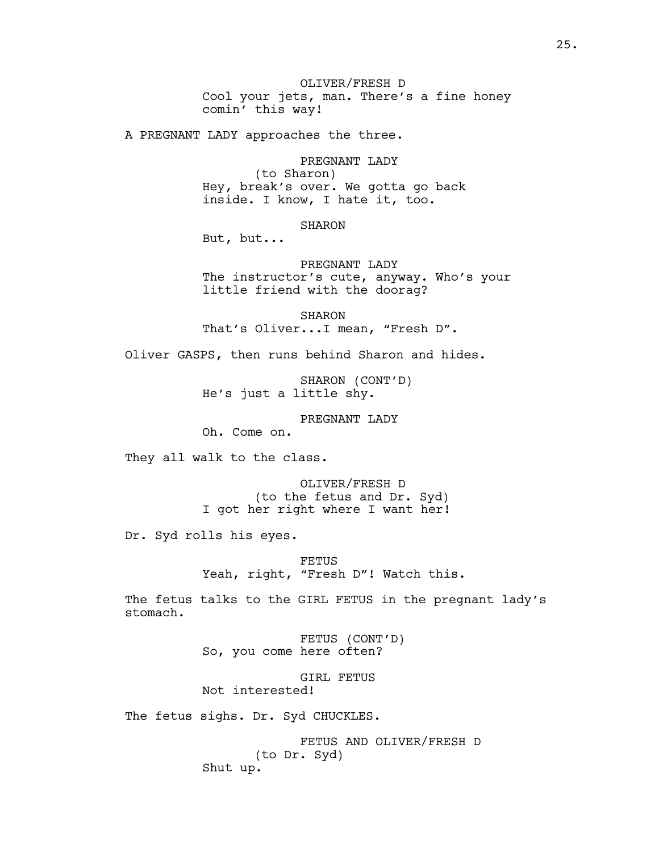OLIVER/FRESH D Cool your jets, man. There's a fine honey comin' this way!

A PREGNANT LADY approaches the three.

PREGNANT LADY (to Sharon) Hey, break's over. We gotta go back inside. I know, I hate it, too.

SHARON

But, but...

PREGNANT LADY The instructor's cute, anyway. Who's your little friend with the doorag?

SHARON That's Oliver...I mean, "Fresh D".

Oliver GASPS, then runs behind Sharon and hides.

SHARON (CONT'D) He's just a little shy.

PREGNANT LADY

Oh. Come on.

They all walk to the class.

OLIVER/FRESH D (to the fetus and Dr. Syd) I got her right where I want her!

Dr. Syd rolls his eyes.

FETUS Yeah, right, "Fresh D"! Watch this.

The fetus talks to the GIRL FETUS in the pregnant lady's stomach.

> FETUS (CONT'D) So, you come here often?

GIRL FETUS Not interested!

The fetus sighs. Dr. Syd CHUCKLES.

FETUS AND OLIVER/FRESH D (to Dr. Syd) Shut up.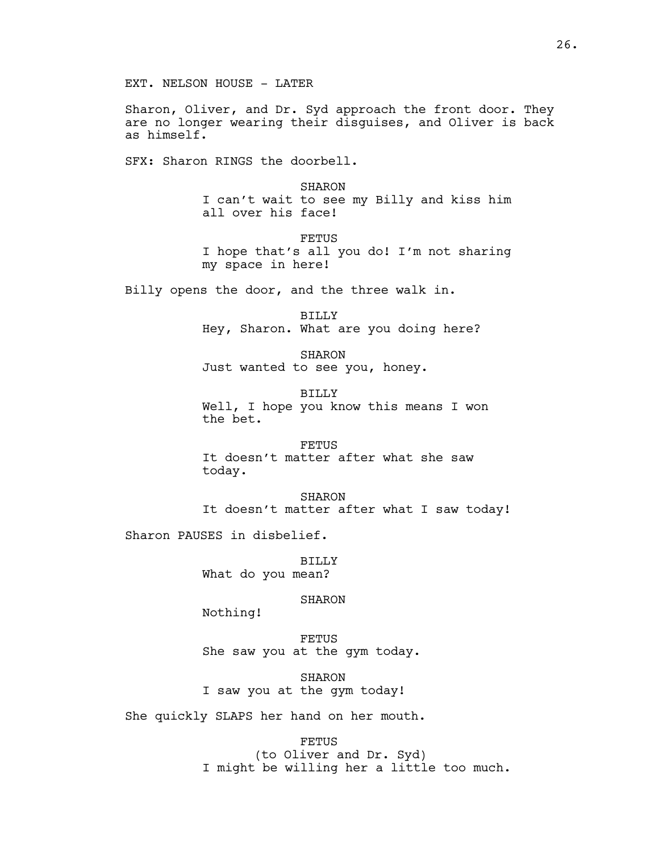EXT. NELSON HOUSE - LATER

Sharon, Oliver, and Dr. Syd approach the front door. They are no longer wearing their disguises, and Oliver is back as himself.

SFX: Sharon RINGS the doorbell.

SHARON I can't wait to see my Billy and kiss him all over his face!

FETUS I hope that's all you do! I'm not sharing my space in here!

Billy opens the door, and the three walk in.

BILLY Hey, Sharon. What are you doing here?

SHARON Just wanted to see you, honey.

BILLY Well, I hope you know this means I won the bet.

FETUS It doesn't matter after what she saw today.

SHARON It doesn't matter after what I saw today!

Sharon PAUSES in disbelief.

BILLY What do you mean?

SHARON

Nothing!

FETUS She saw you at the gym today.

SHARON I saw you at the gym today!

She quickly SLAPS her hand on her mouth.

FETUS

(to Oliver and Dr. Syd) I might be willing her a little too much.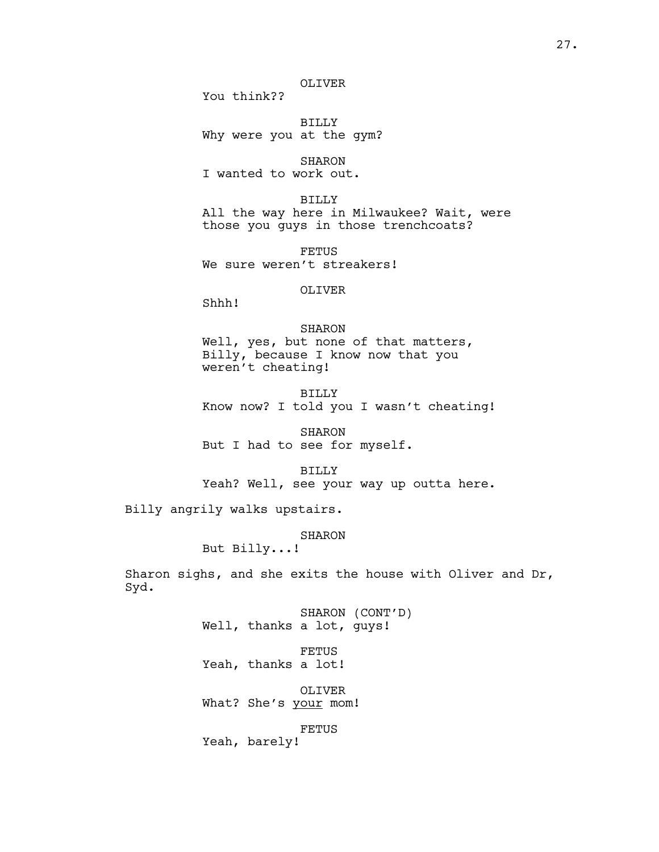# OLIVER

You think??

BILLY Why were you at the gym?

SHARON I wanted to work out.

BILLY All the way here in Milwaukee? Wait, were those you guys in those trenchcoats?

FETUS We sure weren't streakers!

## OLIVER

Shhh!

# SHARON Well, yes, but none of that matters, Billy, because I know now that you weren't cheating!

BILLY Know now? I told you I wasn't cheating!

SHARON But I had to see for myself.

# BILLY

Yeah? Well, see your way up outta here.

Billy angrily walks upstairs.

# SHARON

But Billy...!

Sharon sighs, and she exits the house with Oliver and Dr, Syd.

> SHARON (CONT'D) Well, thanks a lot, guys!

FETUS Yeah, thanks a lot!

OLIVER What? She's your mom!

FETUS

Yeah, barely!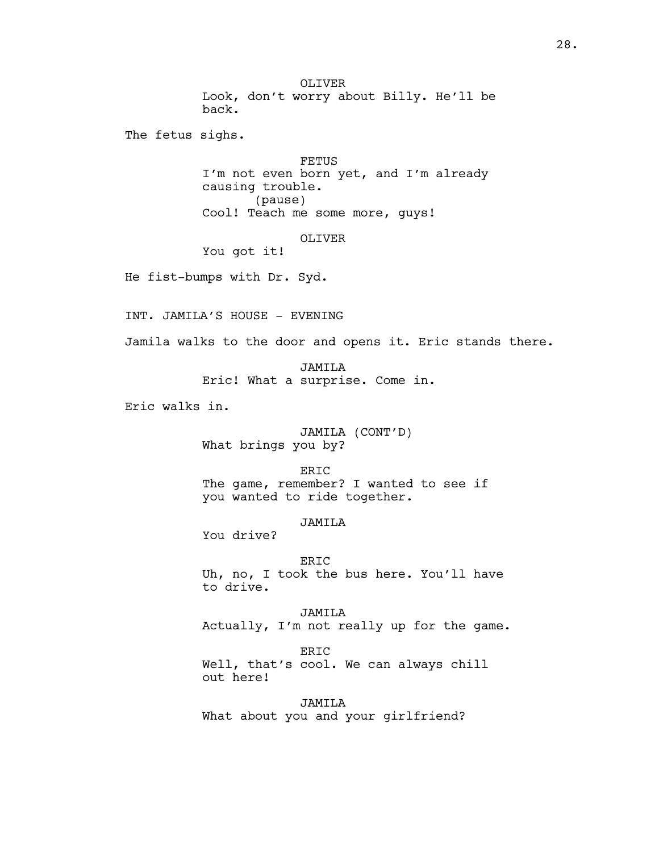OLIVER Look, don't worry about Billy. He'll be back. The fetus sighs. FETUS I'm not even born yet, and I'm already causing trouble. (pause) Cool! Teach me some more, guys! OLIVER You got it! He fist-bumps with Dr. Syd. INT. JAMILA'S HOUSE - EVENING Jamila walks to the door and opens it. Eric stands there. JAMILA Eric! What a surprise. Come in. Eric walks in. JAMILA (CONT'D) What brings you by? ERIC The game, remember? I wanted to see if you wanted to ride together. JAMILA You drive? ERIC Uh, no, I took the bus here. You'll have to drive. JAMILA Actually, I'm not really up for the game. ERIC Well, that's cool. We can always chill out here! JAMILA What about you and your girlfriend?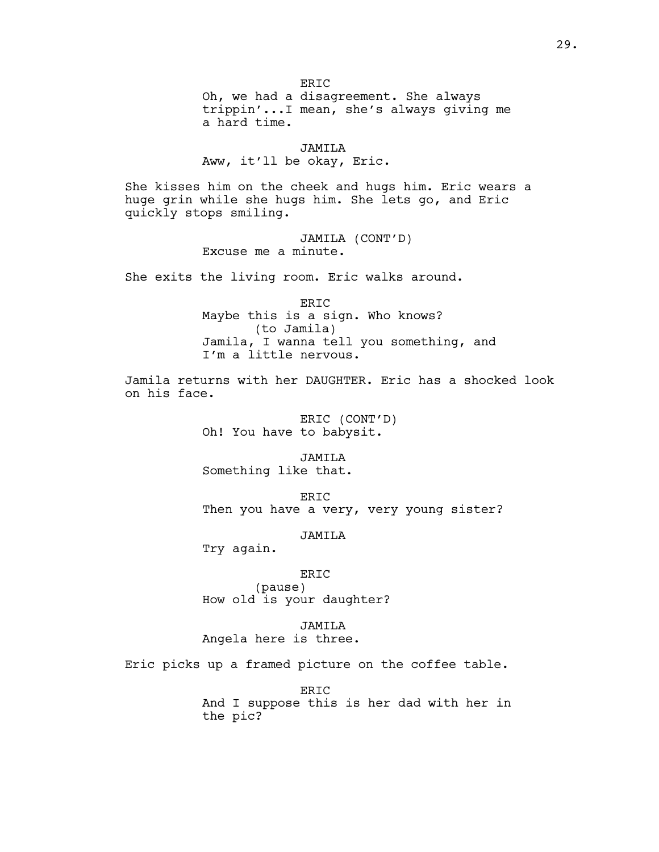ER<sub>TC</sub> Oh, we had a disagreement. She always trippin'...I mean, she's always giving me a hard time.

#### JAMILA

Aww, it'll be okay, Eric.

She kisses him on the cheek and hugs him. Eric wears a huge grin while she hugs him. She lets go, and Eric quickly stops smiling.

> JAMILA (CONT'D) Excuse me a minute.

She exits the living room. Eric walks around.

ERIC Maybe this is a sign. Who knows? (to Jamila) Jamila, I wanna tell you something, and I'm a little nervous.

Jamila returns with her DAUGHTER. Eric has a shocked look on his face.

> ERIC (CONT'D) Oh! You have to babysit.

JAMILA Something like that.

ERIC Then you have a very, very young sister?

JAMILA

Try again.

# ERIC

(pause) How old is your daughter?

JAMILA Angela here is three.

Eric picks up a framed picture on the coffee table.

ERIC And I suppose this is her dad with her in the pic?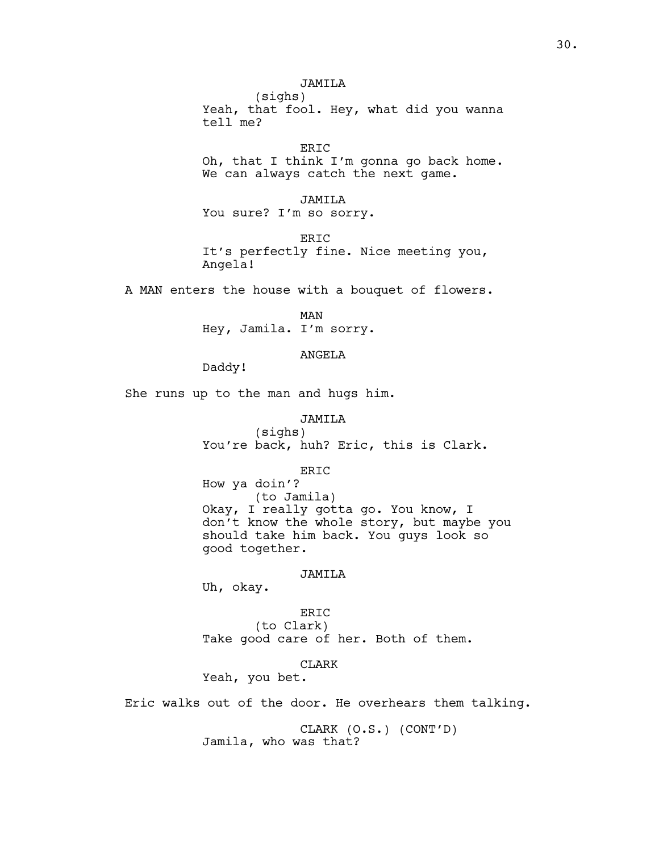# JAMILA

(sighs) Yeah, that fool. Hey, what did you wanna tell me?

ERIC Oh, that I think I'm gonna go back home. We can always catch the next game.

JAMILA

You sure? I'm so sorry.

ERIC It's perfectly fine. Nice meeting you, Angela!

A MAN enters the house with a bouquet of flowers.

MAN Hey, Jamila. I'm sorry.

# ANGELA

Daddy!

She runs up to the man and hugs him.

JAMILA (sighs) You're back, huh? Eric, this is Clark.

### ERIC

How ya doin'? (to Jamila) Okay, I really gotta go. You know, I don't know the whole story, but maybe you should take him back. You guys look so good together.

# JAMILA

Uh, okay.

ERIC (to Clark) Take good care of her. Both of them.

# CLARK

Yeah, you bet.

Eric walks out of the door. He overhears them talking.

CLARK (O.S.) (CONT'D) Jamila, who was that?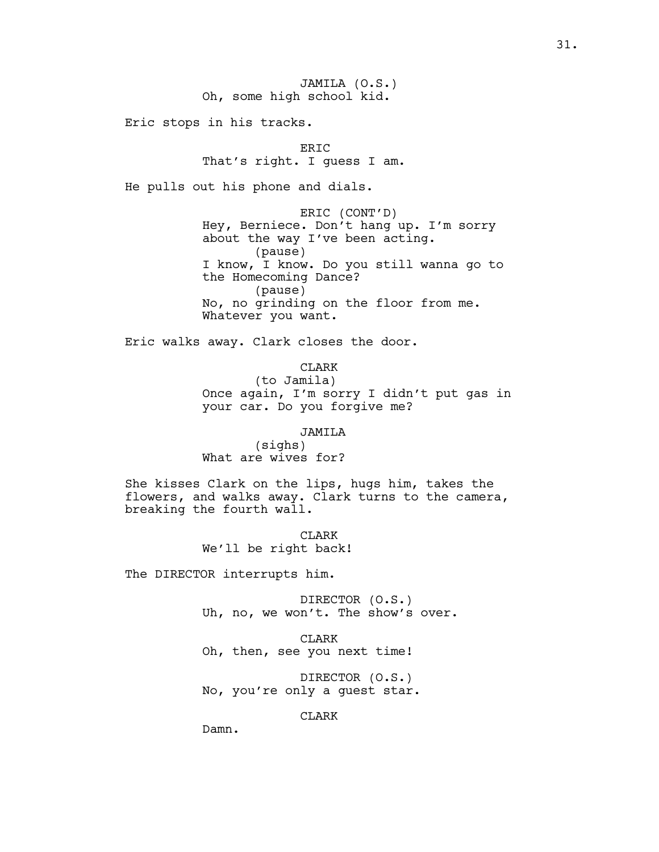JAMILA (O.S.) Oh, some high school kid.

Eric stops in his tracks.

ERIC That's right. I quess I am.

He pulls out his phone and dials.

ERIC (CONT'D) Hey, Berniece. Don't hang up. I'm sorry about the way I've been acting. (pause) I know, I know. Do you still wanna go to the Homecoming Dance? (pause) No, no grinding on the floor from me. Whatever you want.

Eric walks away. Clark closes the door.

CLARK

(to Jamila) Once again, I'm sorry I didn't put gas in your car. Do you forgive me?

JAMILA (sighs)

What are wives for?

She kisses Clark on the lips, hugs him, takes the flowers, and walks away. Clark turns to the camera, breaking the fourth wall.

> CLARK We'll be right back!

The DIRECTOR interrupts him.

DIRECTOR (O.S.) Uh, no, we won't. The show's over.

CLARK Oh, then, see you next time!

DIRECTOR (O.S.) No, you're only a guest star.

CLARK

Damn.